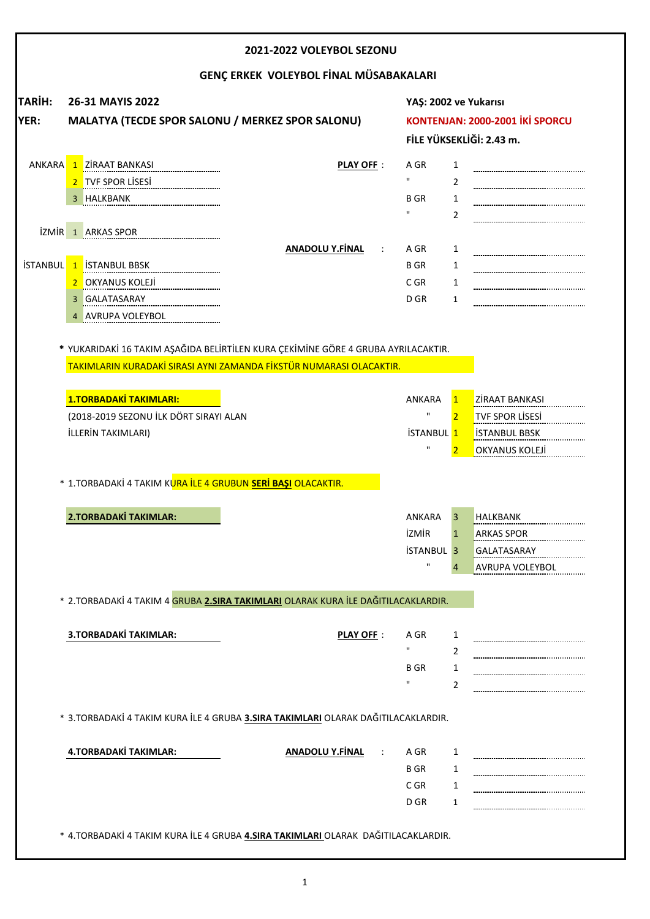|                       |                                                                                                                                                                                                               |                                                                                      |                                                             | 2021-2022 VOLEYBOL SEZONU       |                                                                 |  |  |  |  |  |  |  |  |  |  |
|-----------------------|---------------------------------------------------------------------------------------------------------------------------------------------------------------------------------------------------------------|--------------------------------------------------------------------------------------|-------------------------------------------------------------|---------------------------------|-----------------------------------------------------------------|--|--|--|--|--|--|--|--|--|--|
|                       |                                                                                                                                                                                                               |                                                                                      | GENÇ ERKEK VOLEYBOL FİNAL MÜSABAKALARI                      |                                 |                                                                 |  |  |  |  |  |  |  |  |  |  |
| <b>TARIH:</b><br>YER: | 26-31 MAYIS 2022<br>MALATYA (TECDE SPOR SALONU / MERKEZ SPOR SALONU)                                                                                                                                          | YAŞ: 2002 ve Yukarısı<br>KONTENJAN: 2000-2001 İKİ SPORCU<br>FİLE YÜKSEKLİĞİ: 2.43 m. |                                                             |                                 |                                                                 |  |  |  |  |  |  |  |  |  |  |
| <b>ANKARA</b>         | 1 ZIRAAT BANKASI<br>TVF SPOR LISESI<br>$\overline{2}$<br>HALKBANK<br><b>İZMİR</b> 1 ARKAS SPOR<br>İSTANBUL 1 İSTANBUL BBSK<br>OKYANUS KOLEJİ<br>$\overline{2}$                                                | <b>PLAY OFF:</b><br><b>ANADOLU Y.FİNAL</b><br>$\ddot{\phantom{a}}$                   | A GR<br>$\mathbf{u}$<br>B GR<br>A GR<br><b>BGR</b><br>C GR  | 1<br>2<br>1<br>2<br>1<br>1<br>1 |                                                                 |  |  |  |  |  |  |  |  |  |  |
|                       | <b>GALATASARAY</b><br>3<br><b>AVRUPA VOLEYBOL</b><br>* YUKARIDAKİ 16 TAKIM AŞAĞIDA BELİRTİLEN KURA ÇEKİMİNE GÖRE 4 GRUBA AYRILACAKTIR.<br>TAKIMLARIN KURADAKİ SIRASI AYNI ZAMANDA FİKSTÜR NUMARASI OLACAKTIR. |                                                                                      | D GR                                                        | $\mathbf{1}$                    |                                                                 |  |  |  |  |  |  |  |  |  |  |
|                       |                                                                                                                                                                                                               |                                                                                      |                                                             |                                 |                                                                 |  |  |  |  |  |  |  |  |  |  |
|                       | <b>1.TORBADAKİ TAKIMLARI:</b>                                                                                                                                                                                 |                                                                                      | ANKARA                                                      | $\mathbf{1}$                    | ZİRAAT BANKASI                                                  |  |  |  |  |  |  |  |  |  |  |
|                       | (2018-2019 SEZONU İLK DÖRT SIRAYI ALAN                                                                                                                                                                        |                                                                                      | $\mathbf H$                                                 | $\overline{2}$                  | <b>TVF SPOR LISESI</b>                                          |  |  |  |  |  |  |  |  |  |  |
|                       | İLLERİN TAKIMLARI)                                                                                                                                                                                            |                                                                                      | <b>İSTANBUL 1</b><br>$\mathbf{H}$                           |                                 | <b>ISTANBUL BBSK</b><br>OKYANUS KOLEJI                          |  |  |  |  |  |  |  |  |  |  |
|                       | * 1.TORBADAKİ 4 TAKIM KURA İLE 4 GRUBUN SERİ BAŞI OLACAKTIR.                                                                                                                                                  |                                                                                      |                                                             |                                 |                                                                 |  |  |  |  |  |  |  |  |  |  |
|                       | <b>2.TORBADAKİ TAKIMLAR:</b>                                                                                                                                                                                  |                                                                                      | ANKARA<br><b>İZMİR</b><br><b>İSTANBUL 3</b><br>$\mathbf{H}$ | 3<br>1<br>4                     | <b>HALKBANK</b><br>ARKAS SPOR<br>GALATASARAY<br>AVRUPA VOLEYBOL |  |  |  |  |  |  |  |  |  |  |
|                       | * 2.TORBADAKİ 4 TAKIM 4 <mark>GRUBA 2.SIRA TAKIMLARI</mark> OLARAK KURA İLE DAĞITILACAKLARDIR.                                                                                                                |                                                                                      |                                                             |                                 |                                                                 |  |  |  |  |  |  |  |  |  |  |
|                       | 3.TORBADAKİ TAKIMLAR:                                                                                                                                                                                         | <b>PLAY OFF:</b>                                                                     | A GR<br>п<br><b>B</b> GR                                    | 1<br>2<br>1<br>2                |                                                                 |  |  |  |  |  |  |  |  |  |  |
|                       | * 3. TORBADAKİ 4 TAKIM KURA İLE 4 GRUBA 3.SIRA TAKIMLARI OLARAK DAĞITILACAKLARDIR.                                                                                                                            |                                                                                      |                                                             |                                 |                                                                 |  |  |  |  |  |  |  |  |  |  |
|                       | 4.TORBADAKİ TAKIMLAR:                                                                                                                                                                                         | <b>ANADOLU Y.FİNAL</b>                                                               | A GR<br><b>BGR</b><br>C GR                                  | 1<br>1<br>1                     |                                                                 |  |  |  |  |  |  |  |  |  |  |

1